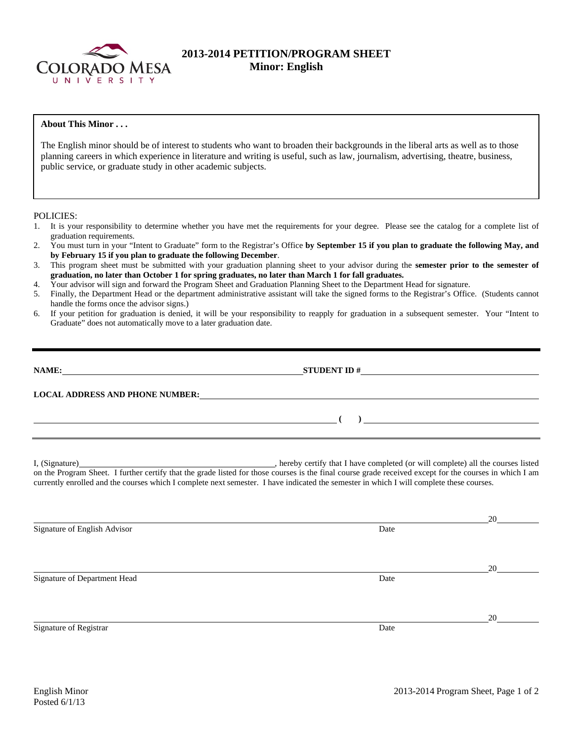

# **2013-2014 PETITION/PROGRAM SHEET Minor: English**

# **About This Minor . . .**

The English minor should be of interest to students who want to broaden their backgrounds in the liberal arts as well as to those planning careers in which experience in literature and writing is useful, such as law, journalism, advertising, theatre, business, public service, or graduate study in other academic subjects.

#### POLICIES:

- 1. It is your responsibility to determine whether you have met the requirements for your degree. Please see the catalog for a complete list of graduation requirements.
- 2. You must turn in your "Intent to Graduate" form to the Registrar's Office **by September 15 if you plan to graduate the following May, and by February 15 if you plan to graduate the following December**.
- 3. This program sheet must be submitted with your graduation planning sheet to your advisor during the **semester prior to the semester of graduation, no later than October 1 for spring graduates, no later than March 1 for fall graduates.**
- 4. Your advisor will sign and forward the Program Sheet and Graduation Planning Sheet to the Department Head for signature.
- 5. Finally, the Department Head or the department administrative assistant will take the signed forms to the Registrar's Office. (Students cannot handle the forms once the advisor signs.)
- 6. If your petition for graduation is denied, it will be your responsibility to reapply for graduation in a subsequent semester. Your "Intent to Graduate" does not automatically move to a later graduation date.

| NAME:<br><u> 1980 - Jan Stein Stein Stein Stein Stein Stein Stein Stein Stein Stein Stein Stein Stein Stein Stein Stein S</u> | $STUDENT ID # \nightharpoonup$ |  |
|-------------------------------------------------------------------------------------------------------------------------------|--------------------------------|--|
| <b>LOCAL ADDRESS AND PHONE NUMBER:</b>                                                                                        |                                |  |
|                                                                                                                               |                                |  |

I, (Signature) , hereby certify that I have completed (or will complete) all the courses listed on the Program Sheet. I further certify that the grade listed for those courses is the final course grade received except for the courses in which I am currently enrolled and the courses which I complete next semester. I have indicated the semester in which I will complete these courses.

|                              |      | 20 |
|------------------------------|------|----|
| Signature of English Advisor | Date |    |
|                              |      |    |
|                              |      |    |
|                              |      | 20 |
| Signature of Department Head | Date |    |
|                              |      |    |
|                              |      |    |
|                              |      | 20 |
| Signature of Registrar       | Date |    |
|                              |      |    |
|                              |      |    |